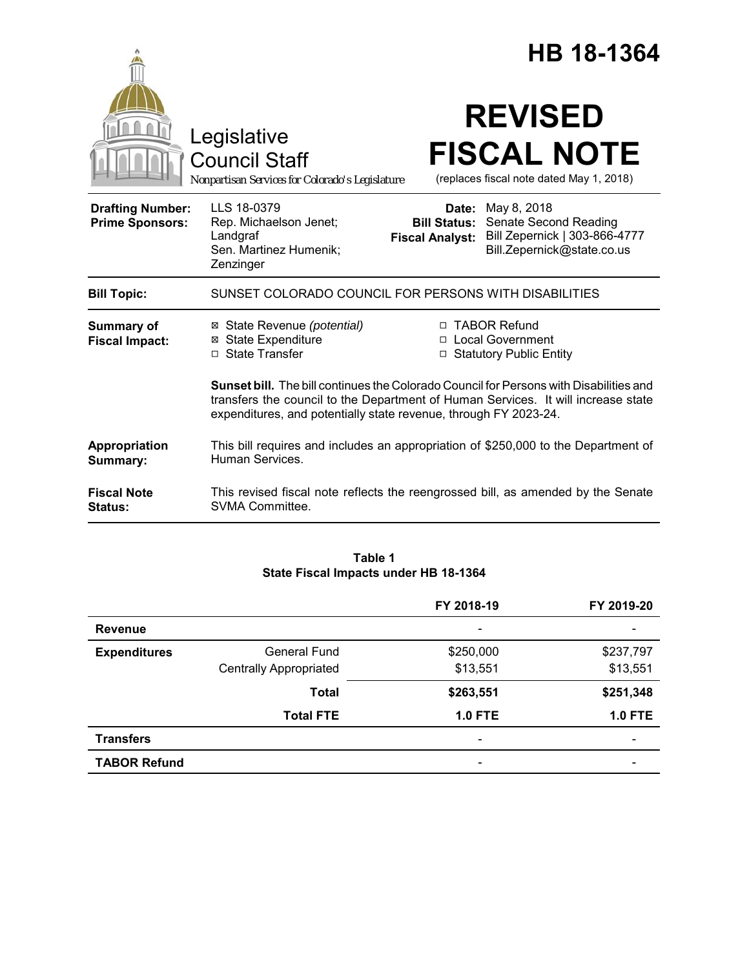|                                                   |                                                                                                                                                                                                                                                 | HB 18-1364                                    |                                                                                                                  |
|---------------------------------------------------|-------------------------------------------------------------------------------------------------------------------------------------------------------------------------------------------------------------------------------------------------|-----------------------------------------------|------------------------------------------------------------------------------------------------------------------|
|                                                   | Legislative<br><b>Council Staff</b><br>Nonpartisan Services for Colorado's Legislature                                                                                                                                                          |                                               | <b>REVISED</b><br><b>FISCAL NOTE</b><br>(replaces fiscal note dated May 1, 2018)                                 |
| <b>Drafting Number:</b><br><b>Prime Sponsors:</b> | LLS 18-0379<br>Rep. Michaelson Jenet;<br>Landgraf<br>Sen. Martinez Humenik;<br>Zenzinger                                                                                                                                                        | <b>Bill Status:</b><br><b>Fiscal Analyst:</b> | <b>Date:</b> May 8, 2018<br>Senate Second Reading<br>Bill Zepernick   303-866-4777<br>Bill.Zepernick@state.co.us |
| <b>Bill Topic:</b>                                | SUNSET COLORADO COUNCIL FOR PERSONS WITH DISABILITIES                                                                                                                                                                                           |                                               |                                                                                                                  |
| <b>Summary of</b><br><b>Fiscal Impact:</b>        | ⊠ State Revenue (potential)<br><b>⊠ State Expenditure</b><br>□ State Transfer                                                                                                                                                                   | □ TABOR Refund                                | □ Local Government<br>$\Box$ Statutory Public Entity                                                             |
|                                                   | Sunset bill. The bill continues the Colorado Council for Persons with Disabilities and<br>transfers the council to the Department of Human Services. It will increase state<br>expenditures, and potentially state revenue, through FY 2023-24. |                                               |                                                                                                                  |
| Appropriation<br>Summary:                         | This bill requires and includes an appropriation of \$250,000 to the Department of<br>Human Services.                                                                                                                                           |                                               |                                                                                                                  |
| <b>Fiscal Note</b><br><b>Status:</b>              | This revised fiscal note reflects the reengrossed bill, as amended by the Senate<br>SVMA Committee.                                                                                                                                             |                                               |                                                                                                                  |

## **Table 1 State Fiscal Impacts under HB 18-1364**

|                     |                               | FY 2018-19                   | FY 2019-20     |
|---------------------|-------------------------------|------------------------------|----------------|
| <b>Revenue</b>      |                               |                              |                |
| <b>Expenditures</b> | <b>General Fund</b>           | \$250,000                    | \$237,797      |
|                     | <b>Centrally Appropriated</b> | \$13,551                     | \$13,551       |
|                     | <b>Total</b>                  | \$263,551                    | \$251,348      |
|                     | <b>Total FTE</b>              | <b>1.0 FTE</b>               | <b>1.0 FTE</b> |
| <b>Transfers</b>    |                               | $\qquad \qquad \blacksquare$ | -              |
| <b>TABOR Refund</b> |                               | $\qquad \qquad \blacksquare$ |                |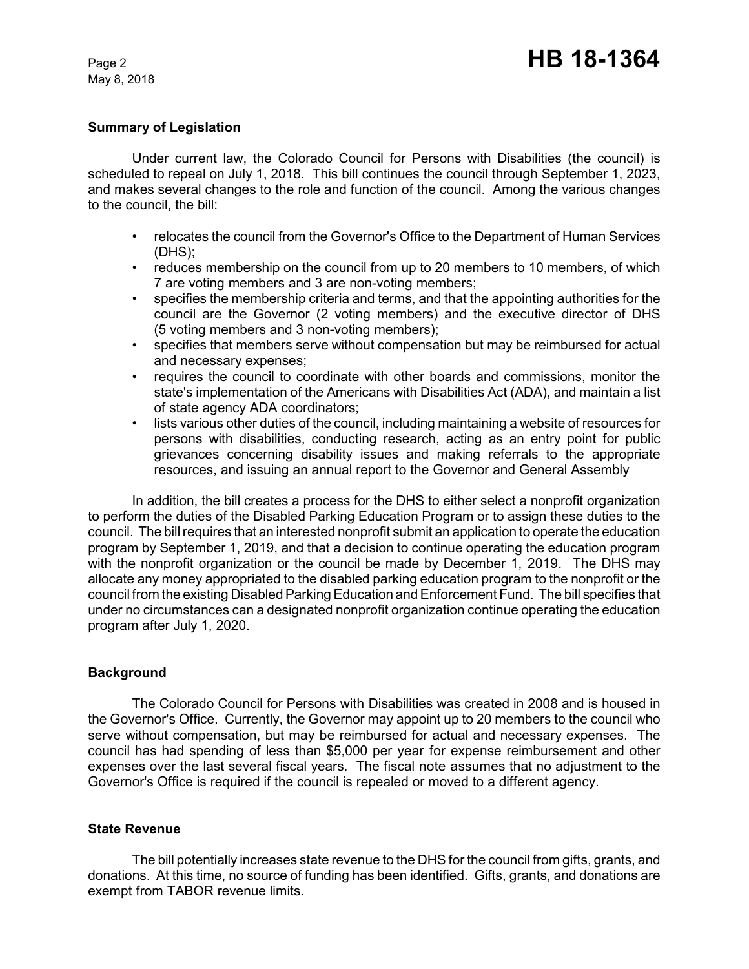May 8, 2018

## **Summary of Legislation**

Under current law, the Colorado Council for Persons with Disabilities (the council) is scheduled to repeal on July 1, 2018. This bill continues the council through September 1, 2023, and makes several changes to the role and function of the council. Among the various changes to the council, the bill:

- relocates the council from the Governor's Office to the Department of Human Services (DHS);
- reduces membership on the council from up to 20 members to 10 members, of which 7 are voting members and 3 are non-voting members;
- specifies the membership criteria and terms, and that the appointing authorities for the council are the Governor (2 voting members) and the executive director of DHS (5 voting members and 3 non-voting members);
- specifies that members serve without compensation but may be reimbursed for actual and necessary expenses;
- requires the council to coordinate with other boards and commissions, monitor the state's implementation of the Americans with Disabilities Act (ADA), and maintain a list of state agency ADA coordinators;
- lists various other duties of the council, including maintaining a website of resources for persons with disabilities, conducting research, acting as an entry point for public grievances concerning disability issues and making referrals to the appropriate resources, and issuing an annual report to the Governor and General Assembly

In addition, the bill creates a process for the DHS to either select a nonprofit organization to perform the duties of the Disabled Parking Education Program or to assign these duties to the council. The bill requires that an interested nonprofit submit an application to operate the education program by September 1, 2019, and that a decision to continue operating the education program with the nonprofit organization or the council be made by December 1, 2019. The DHS may allocate any money appropriated to the disabled parking education program to the nonprofit or the council from the existing Disabled Parking Education and Enforcement Fund. The bill specifies that under no circumstances can a designated nonprofit organization continue operating the education program after July 1, 2020.

### **Background**

The Colorado Council for Persons with Disabilities was created in 2008 and is housed in the Governor's Office. Currently, the Governor may appoint up to 20 members to the council who serve without compensation, but may be reimbursed for actual and necessary expenses. The council has had spending of less than \$5,000 per year for expense reimbursement and other expenses over the last several fiscal years. The fiscal note assumes that no adjustment to the Governor's Office is required if the council is repealed or moved to a different agency.

### **State Revenue**

The bill potentially increases state revenue to the DHS for the council from gifts, grants, and donations. At this time, no source of funding has been identified. Gifts, grants, and donations are exempt from TABOR revenue limits.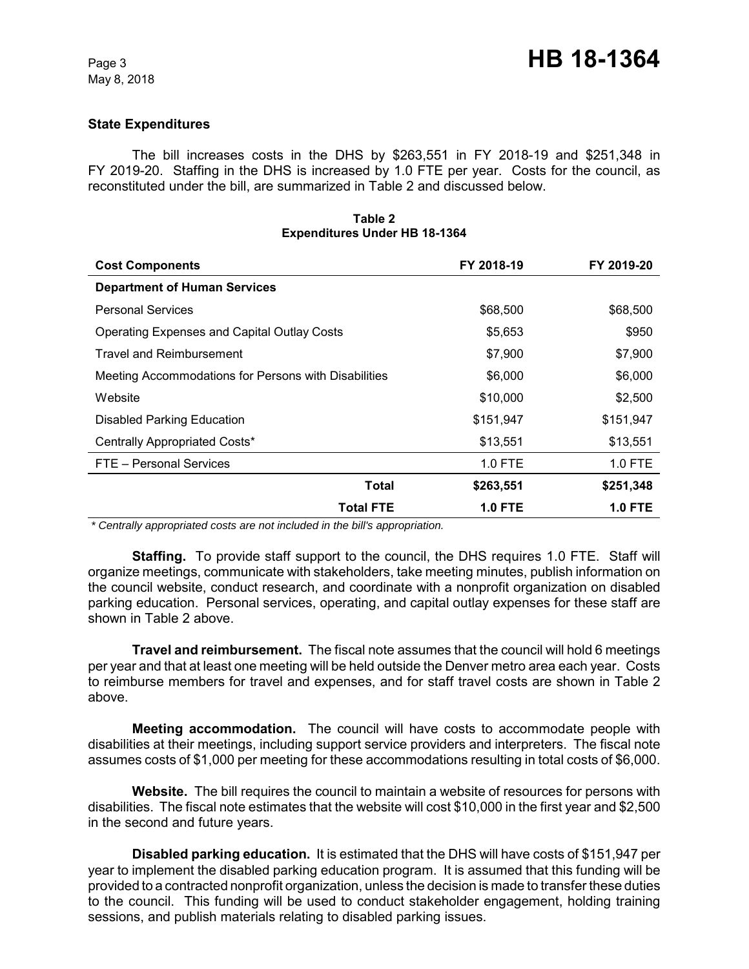## **State Expenditures**

The bill increases costs in the DHS by \$263,551 in FY 2018-19 and \$251,348 in FY 2019-20. Staffing in the DHS is increased by 1.0 FTE per year. Costs for the council, as reconstituted under the bill, are summarized in Table 2 and discussed below.

| <b>Cost Components</b>                               | FY 2018-19 | FY 2019-20     |
|------------------------------------------------------|------------|----------------|
| <b>Department of Human Services</b>                  |            |                |
| <b>Personal Services</b>                             | \$68,500   | \$68,500       |
| <b>Operating Expenses and Capital Outlay Costs</b>   | \$5,653    | \$950          |
| <b>Travel and Reimbursement</b>                      | \$7,900    | \$7,900        |
| Meeting Accommodations for Persons with Disabilities | \$6,000    | \$6,000        |
| Website                                              | \$10,000   | \$2,500        |
| <b>Disabled Parking Education</b>                    | \$151,947  | \$151,947      |
| Centrally Appropriated Costs*                        | \$13,551   | \$13,551       |
| FTE - Personal Services                              | $1.0$ FTE  | $1.0$ FTE      |
| Total                                                | \$263,551  | \$251,348      |
| <b>Total FTE</b>                                     | 1.0 FTE    | <b>1.0 FTE</b> |

#### **Table 2 Expenditures Under HB 18-1364**

 *\* Centrally appropriated costs are not included in the bill's appropriation.*

**Staffing.** To provide staff support to the council, the DHS requires 1.0 FTE. Staff will organize meetings, communicate with stakeholders, take meeting minutes, publish information on the council website, conduct research, and coordinate with a nonprofit organization on disabled parking education. Personal services, operating, and capital outlay expenses for these staff are shown in Table 2 above.

**Travel and reimbursement.** The fiscal note assumes that the council will hold 6 meetings per year and that at least one meeting will be held outside the Denver metro area each year. Costs to reimburse members for travel and expenses, and for staff travel costs are shown in Table 2 above.

**Meeting accommodation.** The council will have costs to accommodate people with disabilities at their meetings, including support service providers and interpreters. The fiscal note assumes costs of \$1,000 per meeting for these accommodations resulting in total costs of \$6,000.

**Website.** The bill requires the council to maintain a website of resources for persons with disabilities. The fiscal note estimates that the website will cost \$10,000 in the first year and \$2,500 in the second and future years.

**Disabled parking education.** It is estimated that the DHS will have costs of \$151,947 per year to implement the disabled parking education program. It is assumed that this funding will be provided to a contracted nonprofit organization, unless the decision is made to transfer these duties to the council. This funding will be used to conduct stakeholder engagement, holding training sessions, and publish materials relating to disabled parking issues.